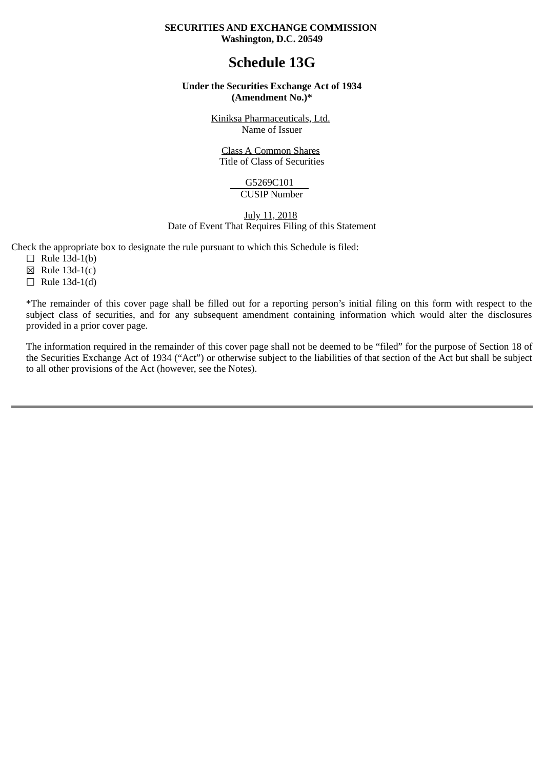## **SECURITIES AND EXCHANGE COMMISSION Washington, D.C. 20549**

# **Schedule 13G**

## **Under the Securities Exchange Act of 1934 (Amendment No.)\***

Kiniksa Pharmaceuticals, Ltd. Name of Issuer

Class A Common Shares Title of Class of Securities

> G5269C101 CUSIP Number

July 11, 2018

Date of Event That Requires Filing of this Statement

Check the appropriate box to designate the rule pursuant to which this Schedule is filed:

- $\Box$  Rule 13d-1(b)
- $\boxtimes$  Rule 13d-1(c)
- $\Box$  Rule 13d-1(d)

\*The remainder of this cover page shall be filled out for a reporting person's initial filing on this form with respect to the subject class of securities, and for any subsequent amendment containing information which would alter the disclosures provided in a prior cover page.

The information required in the remainder of this cover page shall not be deemed to be "filed" for the purpose of Section 18 of the Securities Exchange Act of 1934 ("Act") or otherwise subject to the liabilities of that section of the Act but shall be subject to all other provisions of the Act (however, see the Notes).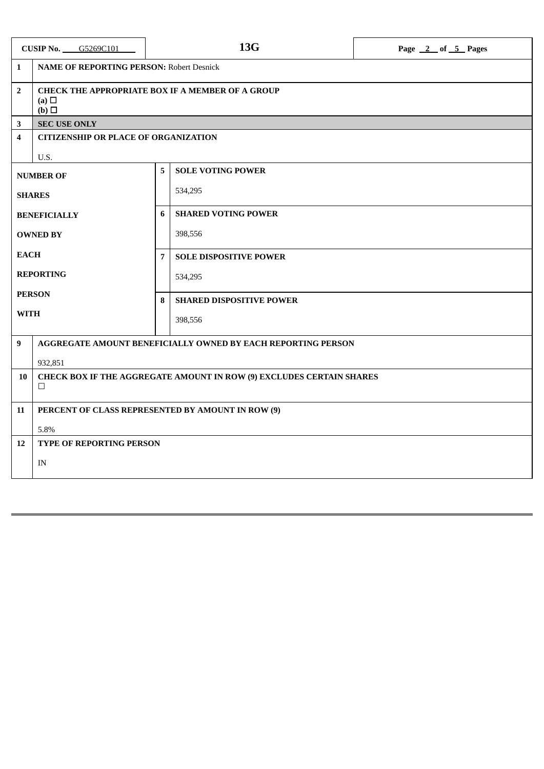| <b>CUSIP No. 65269C101</b> |                                                                                          | 13G |                                 | Page 2 of 5 Pages |  |  |
|----------------------------|------------------------------------------------------------------------------------------|-----|---------------------------------|-------------------|--|--|
| $\mathbf{1}$               | <b>NAME OF REPORTING PERSON: Robert Desnick</b>                                          |     |                                 |                   |  |  |
| $\overline{2}$             | <b>CHECK THE APPROPRIATE BOX IF A MEMBER OF A GROUP</b><br>(a) $\Box$<br>$(b)$ $\square$ |     |                                 |                   |  |  |
| $\mathbf{3}$               | <b>SEC USE ONLY</b>                                                                      |     |                                 |                   |  |  |
| 4                          | <b>CITIZENSHIP OR PLACE OF ORGANIZATION</b>                                              |     |                                 |                   |  |  |
|                            | U.S.                                                                                     |     |                                 |                   |  |  |
|                            | <b>NUMBER OF</b>                                                                         | 5   | <b>SOLE VOTING POWER</b>        |                   |  |  |
| <b>SHARES</b>              |                                                                                          |     | 534,295                         |                   |  |  |
| <b>BENEFICIALLY</b>        |                                                                                          | 6   | <b>SHARED VOTING POWER</b>      |                   |  |  |
| <b>OWNED BY</b>            |                                                                                          |     | 398,556                         |                   |  |  |
| <b>EACH</b>                |                                                                                          | 7   | <b>SOLE DISPOSITIVE POWER</b>   |                   |  |  |
| <b>REPORTING</b>           |                                                                                          |     | 534,295                         |                   |  |  |
| <b>PERSON</b>              |                                                                                          | 8   | <b>SHARED DISPOSITIVE POWER</b> |                   |  |  |
| <b>WITH</b>                |                                                                                          |     | 398,556                         |                   |  |  |
| $\boldsymbol{9}$           | AGGREGATE AMOUNT BENEFICIALLY OWNED BY EACH REPORTING PERSON                             |     |                                 |                   |  |  |
|                            | 932,851                                                                                  |     |                                 |                   |  |  |
| 10                         | CHECK BOX IF THE AGGREGATE AMOUNT IN ROW (9) EXCLUDES CERTAIN SHARES<br>$\Box$           |     |                                 |                   |  |  |
| 11                         | PERCENT OF CLASS REPRESENTED BY AMOUNT IN ROW (9)                                        |     |                                 |                   |  |  |
|                            | 5.8%                                                                                     |     |                                 |                   |  |  |
| 12                         | <b>TYPE OF REPORTING PERSON</b>                                                          |     |                                 |                   |  |  |
|                            | IN                                                                                       |     |                                 |                   |  |  |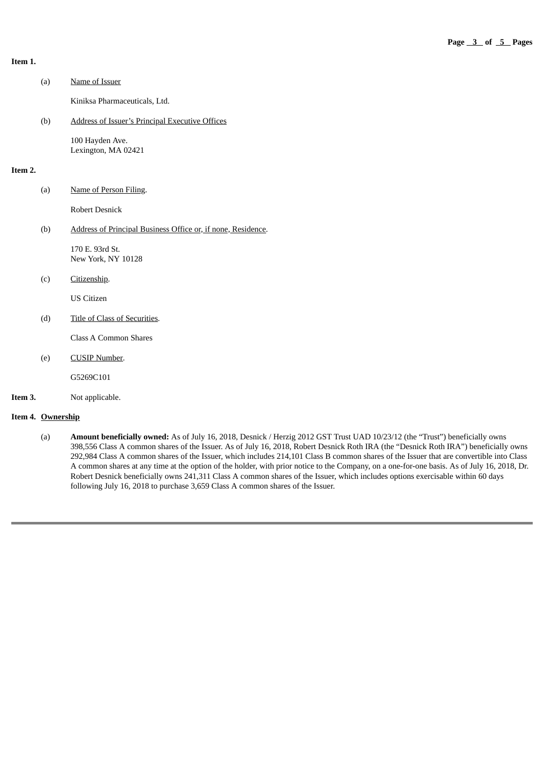#### **Item 1.**

|         | (a) | Name of Issuer                                               |
|---------|-----|--------------------------------------------------------------|
|         |     | Kiniksa Pharmaceuticals, Ltd.                                |
|         | (b) | <b>Address of Issuer's Principal Executive Offices</b>       |
|         |     | 100 Hayden Ave.<br>Lexington, MA 02421                       |
| Item 2. |     |                                                              |
|         | (a) | Name of Person Filing.                                       |
|         |     | <b>Robert Desnick</b>                                        |
|         | (b) | Address of Principal Business Office or, if none, Residence. |
|         |     | 170 E. 93rd St.<br>New York, NY 10128                        |
|         | (c) | Citizenship.                                                 |
|         |     | <b>US Citizen</b>                                            |
|         | (d) | Title of Class of Securities.                                |
|         |     | <b>Class A Common Shares</b>                                 |
|         | (e) | <b>CUSIP Number.</b>                                         |
|         |     | G5269C101                                                    |
| Item 3. |     | Not applicable.                                              |

#### **Item 4. Ownership**

(a) **Amount beneficially owned:** As of July 16, 2018, Desnick / Herzig 2012 GST Trust UAD 10/23/12 (the "Trust") beneficially owns 398,556 Class A common shares of the Issuer. As of July 16, 2018, Robert Desnick Roth IRA (the "Desnick Roth IRA") beneficially owns 292,984 Class A common shares of the Issuer, which includes 214,101 Class B common shares of the Issuer that are convertible into Class A common shares at any time at the option of the holder, with prior notice to the Company, on a one-for-one basis. As of July 16, 2018, Dr. Robert Desnick beneficially owns 241,311 Class A common shares of the Issuer, which includes options exercisable within 60 days following July 16, 2018 to purchase 3,659 Class A common shares of the Issuer.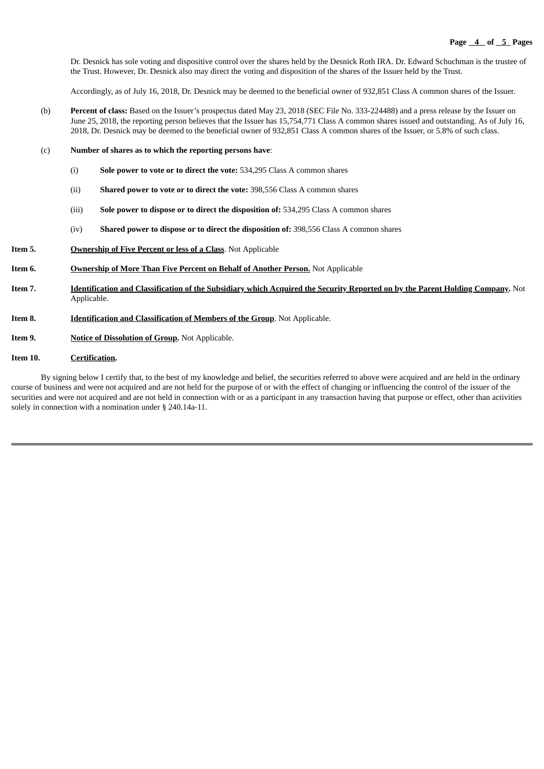Dr. Desnick has sole voting and dispositive control over the shares held by the Desnick Roth IRA. Dr. Edward Schuchman is the trustee of the Trust. However, Dr. Desnick also may direct the voting and disposition of the shares of the Issuer held by the Trust.

Accordingly, as of July 16, 2018, Dr. Desnick may be deemed to the beneficial owner of 932,851 Class A common shares of the Issuer.

- (b) **Percent of class:** Based on the Issuer's prospectus dated May 23, 2018 (SEC File No. 333-224488) and a press release by the Issuer on June 25, 2018, the reporting person believes that the Issuer has 15,754,771 Class A common shares issued and outstanding. As of July 16, 2018, Dr. Desnick may be deemed to the beneficial owner of 932,851 Class A common shares of the Issuer, or 5.8% of such class.
- (c) **Number of shares as to which the reporting persons have**:
	- (i) **Sole power to vote or to direct the vote:** 534,295 Class A common shares
	- (ii) **Shared power to vote or to direct the vote:** 398,556 Class A common shares
	- (iii) **Sole power to dispose or to direct the disposition of:** 534,295 Class A common shares
	- (iv) **Shared power to dispose or to direct the disposition of:** 398,556 Class A common shares
- **Item 5. Ownership of Five Percent or less of a Class**. Not Applicable
- **Item 6. Ownership of More Than Five Percent on Behalf of Another Person.** Not Applicable
- Item 7. Identification and Classification of the Subsidiary which Acquired the Security Reported on by the Parent Holding Company. Not Applicable.
- **Item 8. Identification and Classification of Members of the Group**. Not Applicable.
- **Item 9. Notice of Dissolution of Group.** Not Applicable.

### **Item 10. Certification.**

By signing below I certify that, to the best of my knowledge and belief, the securities referred to above were acquired and are held in the ordinary course of business and were not acquired and are not held for the purpose of or with the effect of changing or influencing the control of the issuer of the securities and were not acquired and are not held in connection with or as a participant in any transaction having that purpose or effect, other than activities solely in connection with a nomination under § 240.14a-11.